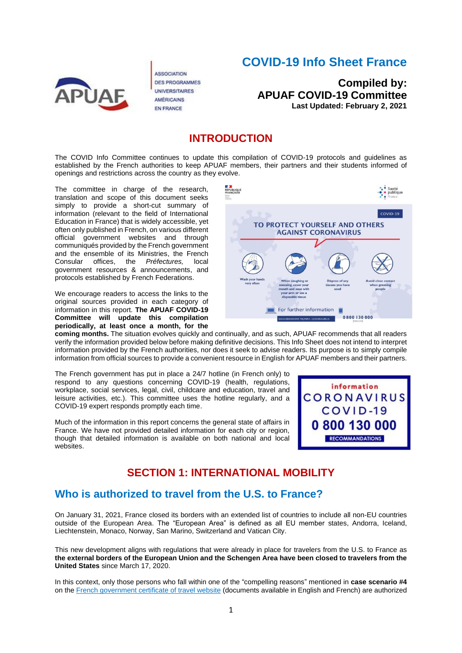

**ASSOCIATION DES PROGRAMMES UNIVERSITAIRES AMÉRICAINS EN FRANCE** 

# **COVID-19 Info Sheet France**

**Compiled by: APUAF COVID-19 Committee Last Updated: February 2, 2021**

### **INTRODUCTION**

The COVID Info Committee continues to update this compilation of COVID-19 protocols and guidelines as established by the French authorities to keep APUAF members, their partners and their students informed of openings and restrictions across the country as they evolve.

The committee in charge of the research, translation and scope of this document seeks simply to provide a short-cut summary of information (relevant to the field of International Education in France) that is widely accessible, yet often only published in French, on various different official government websites and through communiqués provided by the French government and the ensemble of its Ministries, the French<br>Consular offices, the *Préfectures*, local Consular offices, the *Préfectures,* local government resources & announcements, and protocols established by French Federations.

We encourage readers to access the links to the original sources provided in each category of information in this report. **The APUAF COVID-19 Committee will update this compilation periodically, at least once a month, for the** 



**coming months.** The situation evolves quickly and continually, and as such, APUAF recommends that all readers verify the information provided below before making definitive decisions. This Info Sheet does not intend to interpret information provided by the French authorities, nor does it seek to advise readers. Its purpose is to simply compile information from official sources to provide a convenient resource in English for APUAF members and their partners.

The French government has put in place a 24/7 hotline (in French only) to respond to any questions concerning COVID-19 (health, regulations, workplace, social services, legal, civil, childcare and education, travel and leisure activities, etc.). This committee uses the hotline regularly, and a COVID-19 expert responds promptly each time.

Much of the information in this report concerns the general state of affairs in France. We have not provided detailed information for each city or region, though that detailed information is available on both national and local websites.



### **SECTION 1: INTERNATIONAL MOBILITY**

### **Who is authorized to travel from the U.S. to France?**

On January 31, 2021, France closed its borders with an extended list of countries to include all non-EU countries outside of the European Area. The "European Area" is defined as all EU member states, Andorra, Iceland, Liechtenstein, Monaco, Norway, San Marino, Switzerland and Vatican City.

This new development aligns with regulations that were already in place for travelers from the U.S. to France as **the external borders of the European Union and the Schengen Area have been closed to travelers from the United States** since March 17, 2020.

In this context, only those persons who fall within one of the "compelling reasons" mentioned in **case scenario #4** on the [French government certificate of travel website](https://www.interieur.gouv.fr/Actualites/L-actu-du-Ministere/Attestation-de-deplacement-et-de-voyage) (documents available in English and French) are authorized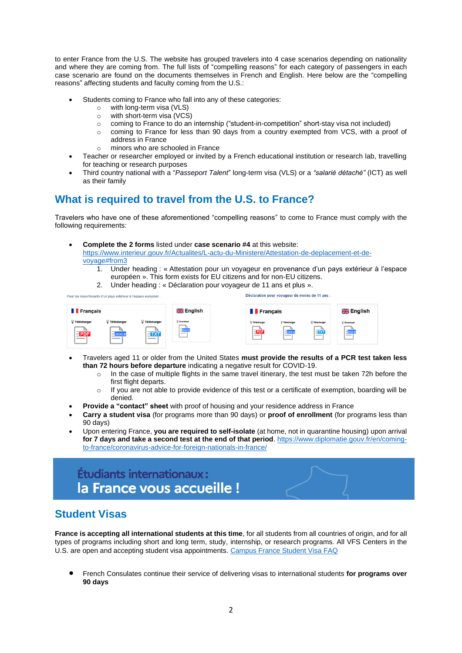to enter France from the U.S. The website has grouped travelers into 4 case scenarios depending on nationality and where they are coming from. The full lists of "compelling reasons" for each category of passengers in each case scenario are found on the documents themselves in French and English. Here below are the "compelling reasons" affecting students and faculty coming from the U.S.:

- Students coming to France who fall into any of these categories:
	- o with long-term visa (VLS)
	- $\circ$  with short-term visa (VCS)
	- $\circ$  coming to France to do an internship ("student-in-competition" short-stay visa not included)
	- o coming to France for less than 90 days from a country exempted from VCS, with a proof of address in France
		- o minors who are schooled in France
- Teacher or researcher employed or invited by a French educational institution or research lab, travelling for teaching or research purposes
- Third country national with a "*Passeport Talent*" long-term visa (VLS) or a *"salarié détaché"* (ICT) as well as their family

### **What is required to travel from the U.S. to France?**

Travelers who have one of these aforementioned "compelling reasons" to come to France must comply with the following requirements:

• **Complete the 2 forms** listed under **case scenario #4** at this website:

[https://www.interieur.gouv.fr/Actualites/L-actu-du-Ministere/Attestation-de-deplacement-et-de](https://www.interieur.gouv.fr/Actualites/L-actu-du-Ministere/Attestation-de-deplacement-et-de-voyage#from3)[voyage#from3](https://www.interieur.gouv.fr/Actualites/L-actu-du-Ministere/Attestation-de-deplacement-et-de-voyage#from3)

- 1. Under heading : « Attestation pour un voyageur en provenance d'un pays extérieur à l'espace européen ». This form exists for EU citizens and for non-EU citizens.
- 2. Under heading : « Déclaration pour voyageur de 11 ans et plus ».

Déclaration pour voyageur de moins de 11 ans Pour les ressortissants d'un pays extérieur à l'espace européen **I** Francais <u>ম¤</u> English **T** Francais **WE** English Télécharg Tálécharru  $\frac{1}{2}$ - PDF  $=$  TXT

- Travelers aged 11 or older from the United States **must provide the results of a PCR test taken less than 72 hours before departure** indicating a negative result for COVID-19.
	- o In the case of multiple flights in the same travel itinerary, the test must be taken 72h before the first flight departs.
	- $\circ$  If you are not able to provide evidence of this test or a certificate of exemption, boarding will be denied.
- **Provide a "contact" sheet** with proof of housing and your residence address in France
- **Carry a student visa** (for programs more than 90 days) or **proof of enrollment** (for programs less than 90 days)
- Upon entering France, **you are required to self-isolate** (at home, not in quarantine housing) upon arrival **for 7 days and take a second test at the end of that period**. [https://www.diplomatie.gouv.fr/en/coming](https://www.diplomatie.gouv.fr/en/coming-to-france/coronavirus-advice-for-foreign-nationals-in-france/)[to-france/coronavirus-advice-for-foreign-nationals-in-france/](https://www.diplomatie.gouv.fr/en/coming-to-france/coronavirus-advice-for-foreign-nationals-in-france/)

# **Étudiants internationaux:** la France vous accueille !

# **Student Visas**

**France is accepting all international students at this time**, for all students from all countries of origin, and for all types of programs including short and long term, study, internship, or research programs. All VFS Centers in the U.S. are open and accepting student visa appointments. [Campus France Student Visa FAQ](https://www.usa.campusfrance.org/covid-19-faqs)

• French Consulates continue their service of delivering visas to international students **for programs over 90 days**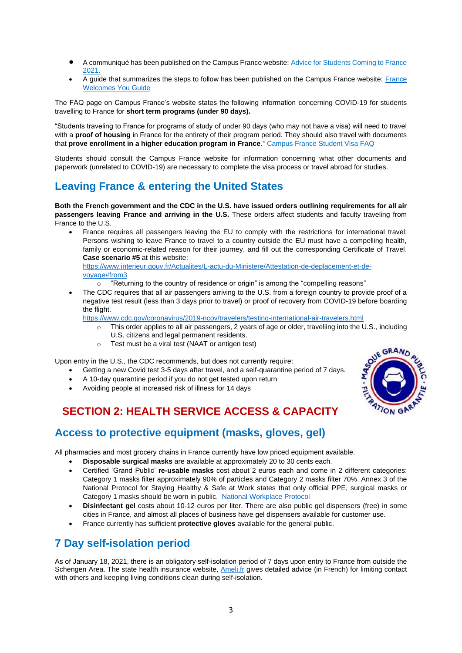- A communiqué has been published on the Campus France website[: Advice for Students Coming to France](https://ressources.campusfrance.org/pratique/demarches/fr/flyer_2021_fr.pdf)  [2021.](https://ressources.campusfrance.org/pratique/demarches/fr/flyer_2021_fr.pdf)
- A guide that summarizes the steps to follow has been published on the Campus France website: [France](https://www.campusfrance.org/en/resource/international-students-france-welcomes-you)  [Welcomes You Guide](https://www.campusfrance.org/en/resource/international-students-france-welcomes-you)

The FAQ page on Campus France's website states the following information concerning COVID-19 for students travelling to France for **short term programs (under 90 days).** 

"Students traveling to France for programs of study of under 90 days (who may not have a visa) will need to travel with a **proof of housing** in France for the entirety of their program period. They should also travel with documents that **prove enrollment in a higher education program in France**.*"* [Campus France Student Visa FAQ](https://www.usa.campusfrance.org/covid-19-faqs)

Students should consult the Campus France website for information concerning what other documents and paperwork (unrelated to COVID-19) are necessary to complete the visa process or travel abroad for studies.

# **Leaving France & entering the United States**

**Both the French government and the CDC in the U.S. have issued orders outlining requirements for all air passengers leaving France and arriving in the U.S.** These orders affect students and faculty traveling from France to the U.S.

• France requires all passengers leaving the EU to comply with the restrictions for international travel: Persons wishing to leave France to travel to a country outside the EU must have a compelling health, family or economic-related reason for their journey, and fill out the corresponding Certificate of Travel. **Case scenario #5** at this website: [https://www.interieur.gouv.fr/Actualites/L-actu-du-Ministere/Attestation-de-deplacement-et-de](https://www.interieur.gouv.fr/Actualites/L-actu-du-Ministere/Attestation-de-deplacement-et-de-voyage#from3)[voyage#from3](https://www.interieur.gouv.fr/Actualites/L-actu-du-Ministere/Attestation-de-deplacement-et-de-voyage#from3)

o "Returning to the country of residence or origin" is among the "compelling reasons"

• The CDC requires that all air passengers arriving to the U.S. from a foreign country to provide proof of a negative test result (less than 3 days prior to travel) or proof of recovery from COVID-19 before boarding the flight.

<https://www.cdc.gov/coronavirus/2019-ncov/travelers/testing-international-air-travelers.html>

- o This order applies to all air passengers, 2 years of age or older, travelling into the U.S., including U.S. citizens and legal permanent residents.
- o Test must be a viral test (NAAT or antigen test)

Upon entry in the U.S., the CDC recommends, but does not currently require:

- Getting a new Covid test 3-5 days after travel, and a self-quarantine period of 7 days.
- A 10-day quarantine period if you do not get tested upon return
- Avoiding people at increased risk of illness for 14 days

# **SECTION 2: HEALTH SERVICE ACCESS & CAPACITY**

### **Access to protective equipment (masks, gloves, gel)**

All pharmacies and most grocery chains in France currently have low priced equipment available.

- **Disposable surgical masks** are available at approximately 20 to 30 cents each.
- Certified 'Grand Public' **re-usable masks** cost about 2 euros each and come in 2 different categories: Category 1 masks filter approximately 90% of particles and Category 2 masks filter 70%. Annex 3 of the National Protocol for Staying Healthy & Safe at Work states that only official PPE, surgical masks or Category 1 masks should be worn in public. National [Workplace](https://travail-emploi.gouv.fr/le-ministere-en-action/coronavirus-covid-19/protection-des-travailleurs/protocole-national-sante-securite-salaries) Protocol
- **Disinfectant gel** costs about 10-12 euros per liter. There are also public gel dispensers (free) in some cities in France, and almost all places of business have gel dispensers available for customer use.
- France currently has sufficient **protective gloves** available for the general public.

# **7 Day self-isolation period**

As of January 18, 2021, there is an obligatory self-isolation period of 7 days upon entry to France from outside the Schengen Area. The state health insurance website, [Ameli.fr](https://www.ameli.fr/assure/covid-19/isolement-principes-et-regles-respecter/isolement-precautions-et-regles-dhygiene) gives detailed advice (in French) for limiting contact with others and keeping living conditions clean during self-isolation.

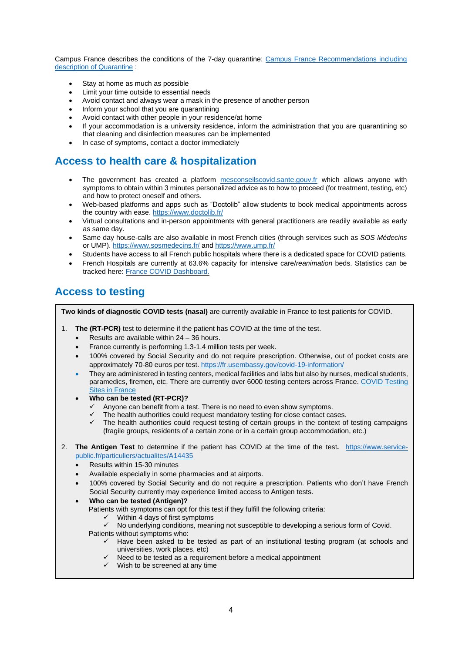Campus France describes the conditions of the 7-day quarantine: Campus France [Recommendations](https://www.campusfrance.org/fr/rentree-2020-les-recommandations-pour-entrer-en-france) including description of [Quarantine](https://www.campusfrance.org/fr/rentree-2020-les-recommandations-pour-entrer-en-france) :

- Stay at home as much as possible
- Limit your time outside to essential needs
- Avoid contact and always wear a mask in the presence of another person
- Inform your school that you are quarantining
- Avoid contact with other people in your residence/at home
- If your accommodation is a university residence, inform the administration that you are quarantining so that cleaning and disinfection measures can be implemented
- In case of symptoms, contact a doctor immediately

### **Access to health care & hospitalization**

- The government has created a platform [mesconseilscovid.sante.gouv.fr](https://mesconseilscovid.sante.gouv.fr/#introduction) which allows anyone with symptoms to obtain within 3 minutes personalized advice as to how to proceed (for treatment, testing, etc) and how to protect oneself and others.
- Web-based platforms and apps such as "Doctolib" allow students to book medical appointments across the country with ease. <https://www.doctolib.fr/>
- Virtual consultations and in-person appointments with general practitioners are readily available as early as same day.
- Same day house-calls are also available in most French cities (through services such as *SOS Médecins* or UMP). <https://www.sosmedecins.fr/> and <https://www.ump.fr/>
- Students have access to all French public hospitals where there is a dedicated space for COVID patients.
- French Hospitals are currently at 63.6% capacity for intensive care/*reanimation* beds. Statistics can be tracked here: France COVID [Dashboard.](https://dashboard.covid19.data.gouv.fr/vue-d-ensemble?location=FRA)

## **Access to testing**

**Two kinds of diagnostic COVID tests (nasal)** are currently available in France to test patients for COVID.

- 1. **The (RT-PCR)** test to determine if the patient has COVID at the time of the test.
	- Results are available within  $24 36$  hours.
	- France currently is performing 1.3-1.4 million tests per week.
	- 100% covered by Social Security and do not require prescription. Otherwise, out of pocket costs are approximately 70-80 euros per test. <https://fr.usembassy.gov/covid-19-information/>
	- They are administered in testing centers, medical facilities and labs but also by nurses, medical students, paramedics, firemen, etc. There are currently over 6000 testing centers across France. COVID Testing [Sites in France](https://sante.fr/recherche/trouver/DepistageCovid)
	- **Who can be tested (RT-PCR)?**
		- Anyone can benefit from a test. There is no need to even show symptoms.
		- The health authorities could request mandatory testing for close contact cases.
		- $\checkmark$  The health authorities could request testing of certain groups in the context of testing campaigns (fragile groups, residents of a certain zone or in a certain group accommodation, etc.)
- 2. **The Antigen Test** to determine if the patient has COVID at the time of the test**.** [https://www.service](https://www.service-public.fr/particuliers/actualites/A14435)[public.fr/particuliers/actualites/A14435](https://www.service-public.fr/particuliers/actualites/A14435)
	- Results within 15-30 minutes
	- Available especially in some pharmacies and at airports.
	- 100% covered by Social Security and do not require a prescription. Patients who don't have French Social Security currently may experience limited access to Antigen tests.
	- **Who can be tested (Antigen)?** Patients with symptoms can opt for this test if they fulfill the following criteria:
		- Within 4 days of first symptoms
		- ✓ No underlying conditions, meaning not susceptible to developing a serious form of Covid. Patients without symptoms who:
			- $\checkmark$  Have been asked to be tested as part of an institutional testing program (at schools and universities, work places, etc)
			- ✓ Need to be tested as a requirement before a medical appointment
			- $\checkmark$  Wish to be screened at any time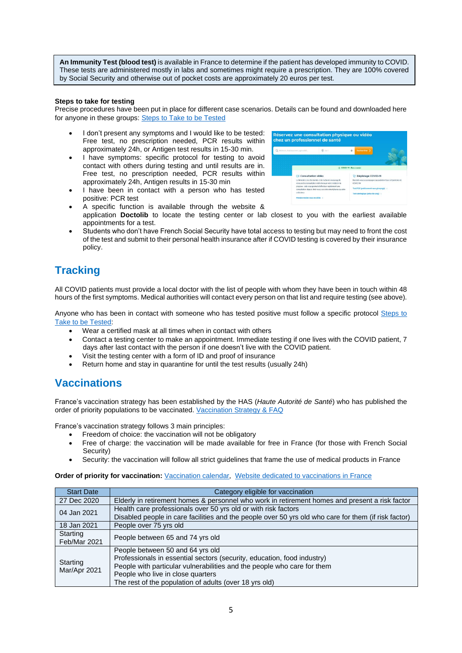**An Immunity Test (blood test)** is available in France to determine if the patient has developed immunity to COVID. These tests are administered mostly in labs and sometimes might require a prescription. They are 100% covered by Social Security and otherwise out of pocket costs are approximately 20 euros per test.

#### **Steps to take for testing**

Precise procedures have been put in place for different case scenarios. Details can be found and downloaded here for anyone in these groups: [Steps to Take to be Tested](https://www.gouvernement.fr/info-coronavirus/tests-et-depistage)

- I don't present any symptoms and I would like to be tested: Free test, no prescription needed, PCR results within approximately 24h, or Antigen test results in 15-30 min.
- I have symptoms: specific protocol for testing to avoid contact with others during testing and until results are in. Free test, no prescription needed, PCR results within approximately 24h, Antigen results in 15-30 min
- I have been in contact with a person who has tested positive: PCR test

| Midwrin, itabioserum, opecutes | 0.007                                                                                                                                                                         |  | <b>Rechercher</b>                                                       |  |
|--------------------------------|-------------------------------------------------------------------------------------------------------------------------------------------------------------------------------|--|-------------------------------------------------------------------------|--|
|                                | COVID-19 : Ron à saveir                                                                                                                                                       |  |                                                                         |  |
|                                |                                                                                                                                                                               |  |                                                                         |  |
| <b>E</b> Consultation vidéo    |                                                                                                                                                                               |  | <sup>U</sup> ! Dépistage COVID-19                                       |  |
|                                | Le Ministère des Sclidarités et de la Santé encourage le<br>recours à la consultation vidéo lorsque votre médecin la<br>propose : cela yous permet d'effectuer rapidement une |  | Doctolib vous accompagne au quotidien face à l'épidémie de<br>COVID-10. |  |
|                                | consultation depuis chez yous, via votre smartphone ou votre                                                                                                                  |  | Test PCR (prélévement naso-pharyngé) >                                  |  |
| ordinateur.                    |                                                                                                                                                                               |  | Test sérologique (prise de carig) >                                     |  |
|                                | Prendre rendez-vous en vidéo »                                                                                                                                                |  |                                                                         |  |

- A specific function is available through the website & application **Doctolib** to locate the testing center or lab closest to you with the earliest available appointments for a test.
- Students who don't have French Social Security have total access to testing but may need to front the cost of the test and submit to their personal health insurance after if COVID testing is covered by their insurance policy.

# **Tracking**

All COVID patients must provide a local doctor with the list of people with whom they have been in touch within 48 hours of the first symptoms. Medical authorities will contact every person on that list and require testing (see above).

Anyone who has been in contact with someone who has tested positive must follow a specific protocol [Steps to](https://www.gouvernement.fr/info-coronavirus/tests-et-depistage)  [Take to be Tested:](https://www.gouvernement.fr/info-coronavirus/tests-et-depistage)

- Wear a certified mask at all times when in contact with others
- Contact a testing center to make an appointment. Immediate testing if one lives with the COVID patient, 7 days after last contact with the person if one doesn't live with the COVID patient.
- Visit the testing center with a form of ID and proof of insurance
- Return home and stay in quarantine for until the test results (usually 24h)

### **Vaccinations**

France's vaccination strategy has been established by the HAS (*Haute Autorité de Santé*) who has published the order of priority populations to be vaccinated. [Vaccination](https://solidarites-sante.gouv.fr/soins-et-maladies/maladies/maladies-infectieuses/coronavirus/la-vaccination/article/foire-aux-questions-la-vaccination-contre-la-covid-19) Strategy & FAQ

France's vaccination strategy follows 3 main principles:

- Freedom of choice: the vaccination will not be obligatory
- Free of charge: the vaccination will be made available for free in France (for those with French Social Security)
- Security: the vaccination will follow all strict guidelines that frame the use of medical products in France

**Order of priority for vaccination:** [Vaccination](https://www.service-public.fr/particuliers/actualites/A14557) calendar, Website dedicated to [vaccinations](https://vaccination-info-service.fr/) in France

| <b>Start Date</b>        | Category eligible for vaccination                                                                                                                                                                                                                                                     |
|--------------------------|---------------------------------------------------------------------------------------------------------------------------------------------------------------------------------------------------------------------------------------------------------------------------------------|
| 27 Dec 2020              | Elderly in retirement homes & personnel who work in retirement homes and present a risk factor                                                                                                                                                                                        |
| 04 Jan 2021              | Health care professionals over 50 yrs old or with risk factors<br>Disabled people in care facilities and the people over 50 yrs old who care for them (if risk factor)                                                                                                                |
| 18 Jan 2021              | People over 75 yrs old                                                                                                                                                                                                                                                                |
| Starting<br>Feb/Mar 2021 | People between 65 and 74 yrs old                                                                                                                                                                                                                                                      |
| Starting<br>Mar/Apr 2021 | People between 50 and 64 yrs old<br>Professionals in essential sectors (security, education, food industry)<br>People with particular vulnerabilities and the people who care for them<br>People who live in close quarters<br>The rest of the population of adults (over 18 yrs old) |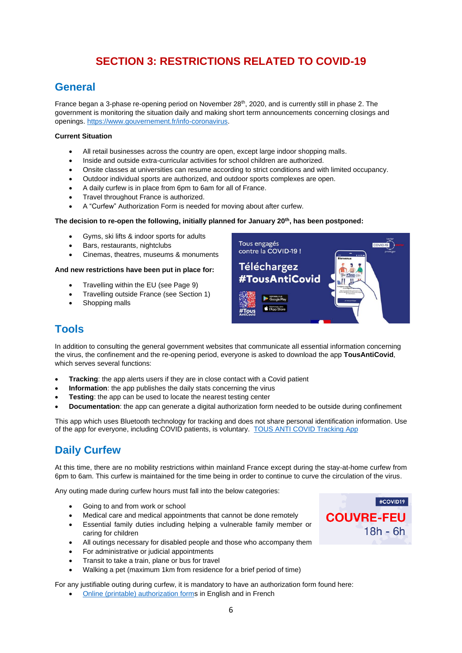# **SECTION 3: RESTRICTIONS RELATED TO COVID-19**

### **General**

France began a 3-phase re-opening period on November  $28<sup>th</sup>$ , 2020, and is currently still in phase 2. The government is monitoring the situation daily and making short term announcements concerning closings and openings. [https://www.gouvernement.fr/info-coronavirus.](https://www.gouvernement.fr/info-coronavirus)

#### **Current Situation**

- All retail businesses across the country are open, except large indoor shopping malls.
- Inside and outside extra-curricular activities for school children are authorized.
- Onsite classes at universities can resume according to strict conditions and with limited occupancy.
- Outdoor individual sports are authorized, and outdoor sports complexes are open.
- A daily curfew is in place from 6pm to 6am for all of France.
- Travel throughout France is authorized.
- A "Curfew" Authorization Form is needed for moving about after curfew.

#### **The decision to re-open the following, initially planned for January 20th, has been postponed:**

- Gyms, ski lifts & indoor sports for adults
- Bars, restaurants, nightclubs
- Cinemas, theatres, museums & monuments

#### **And new restrictions have been put in place for:**

- Travelling within the EU (see Page 9)
- Travelling outside France (see Section 1)
- Shopping malls



### **Tools**

In addition to consulting the general government websites that communicate all essential information concerning the virus, the confinement and the re-opening period, everyone is asked to download the app **TousAntiCovid**, which serves several functions:

- **Tracking:** the app alerts users if they are in close contact with a Covid patient
- **Information**: the app publishes the daily stats concerning the virus
- **Testing:** the app can be used to locate the nearest testing center
- **Documentation**: the app can generate a digital authorization form needed to be outside during confinement

This app which uses Bluetooth technology for tracking and does not share personal identification information. Use of the app for everyone, including COVID patients, is voluntary. TOUS ANTI COVID [Tracking](https://solidarites-sante.gouv.fr/soins-et-maladies/maladies/maladies-infectieuses/coronavirus/tousanticovid) App

# **Daily Curfew**

At this time, there are no mobility restrictions within mainland France except during the stay-at-home curfew from 6pm to 6am. This curfew is maintained for the time being in order to continue to curve the circulation of the virus.

Any outing made during curfew hours must fall into the below categories:

- Going to and from work or school
- Medical care and medical appointments that cannot be done remotely
- Essential family duties including helping a vulnerable family member or caring for children
- All outings necessary for disabled people and those who accompany them
- For administrative or judicial appointments
- Transit to take a train, plane or bus for travel
- Walking a pet (maximum 1km from residence for a brief period of time)

For any justifiable outing during curfew, it is mandatory to have an authorization form found here:

• [Online \(printable\) authorization forms](https://www.interieur.gouv.fr/Actualites/L-actu-du-Ministere/Attestations-de-deplacement-couvre-feu) in English and in French

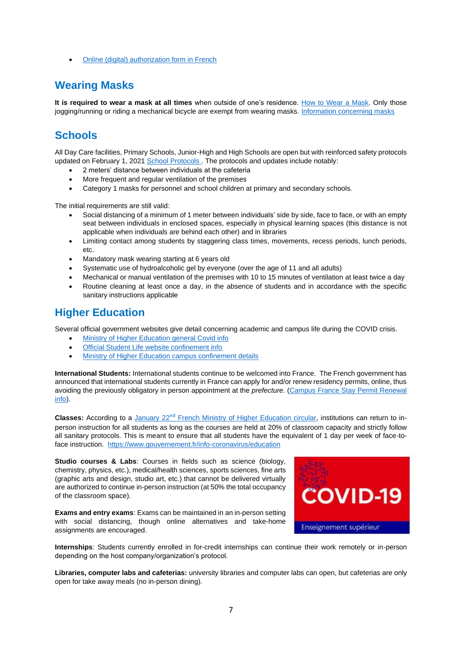• [Online \(digital\) authorization form in French](https://media.interieur.gouv.fr/attestation-couvre-feu-covid-19/)

### **Wearing Masks**

**It is required to wear a mask at all times** when outside of one's residence. [How to](https://solidarites-sante.gouv.fr/IMG/pdf/bien_utiliser_son_masque-a4.pdf) Wear a Mask. Only those jogging/running or riding a mechanical bicycle are exempt from wearing masks. [Information concerning masks](https://travail-emploi.gouv.fr/le-ministere-en-action/coronavirus-covid-19/questions-reponses-par-theme/article/mesures-de-prevention-dans-l-entreprise-contre-la-covid-19)

# **Schools**

All Day Care facilities, Primary Schools, Junior-High and High Schools are open but with reinforced safety protocols updated on February 1, 2021 [School Protocols .](https://www.education.gouv.fr/covid19-ouverture-des-ecoles-modalites-pratiques-et-protocole-sanitaire-305467) The protocols and updates include notably:

- 2 meters' distance between individuals at the cafeteria
- More frequent and regular ventilation of the premises
- Category 1 masks for personnel and school children at primary and secondary schools.

The initial requirements are still valid:

- Social distancing of a minimum of 1 meter between individuals' side by side, face to face, or with an empty seat between individuals in enclosed spaces, especially in physical learning spaces (this distance is not applicable when individuals are behind each other) and in libraries
- Limiting contact among students by staggering class times, movements, recess periods, lunch periods, etc.
- Mandatory mask wearing starting at 6 years old
- Systematic use of hydroalcoholic gel by everyone (over the age of 11 and all adults)
- Mechanical or manual ventilation of the premises with 10 to 15 minutes of ventilation at least twice a day
- Routine cleaning at least once a day, in the absence of students and in accordance with the specific sanitary instructions applicable

### **Higher Education**

Several official government websites give detail concerning academic and campus life during the COVID crisis.

- [Ministry of Higher Education general Covid info](https://www.enseignementsup-recherche.gouv.fr/pid39562/covid-enseignement-superieur-mobilise.html)
- [Official Student Life website confinement info](https://www.etudiant.gouv.fr/cid151944/faq-%7C-dse-cvec-les-questions-les-plus-courantes.html)
- [Ministry of Higher Education campus confinement details](https://www.enseignementsup-recherche.gouv.fr/cid154994/mesures-de-reconfinement-s-appliquant-aux-etablissements-d-esr.html)

**International Students:** International students continue to be welcomed into France. The French government has announced that international students currently in France can apply for and/or renew residency permits, online, thus avoiding the previously obligatory in person appointment at the *prefecture*. [\(Campus France Stay Permit Renewal](https://www.campusfrance.org/fr/comment-renouveler-titre-sejour)  [info\)](https://www.campusfrance.org/fr/comment-renouveler-titre-sejour).

**Classes:** According to a January 22nd [French Ministry of Higher Education circular,](https://services.dgesip.fr/fichiers/CirculaireRepriseEnseignements-22janvier21.pdf) institutions can return to inperson instruction for all students as long as the courses are held at 20% of classroom capacity and strictly follow all sanitary protocols. This is meant to ensure that all students have the equivalent of 1 day per week of face-toface instruction. <https://www.gouvernement.fr/info-coronavirus/education>

**Studio courses & Labs**: Courses in fields such as science (biology, chemistry, physics, etc.), medical/health sciences, sports sciences, fine arts (graphic arts and design, studio art, etc.) that cannot be delivered virtually are authorized to continue in-person instruction (at 50% the total occupancy of the classroom space).

**Exams and entry exams**: Exams can be maintained in an in-person setting with social distancing, though online alternatives and take-home assignments are encouraged.



**Internships**: Students currently enrolled in for-credit internships can continue their work remotely or in-person depending on the host company/organization's protocol.

**Libraries, computer labs and cafeterias:** university libraries and computer labs can open, but cafeterias are only open for take away meals (no in-person dining).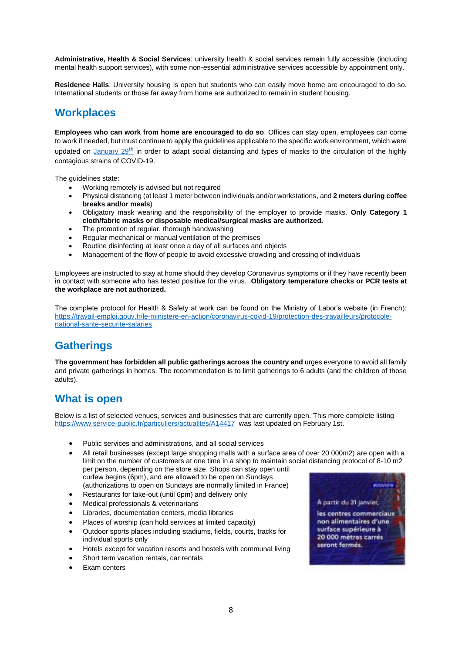**Administrative, Health & Social Services**: university health & social services remain fully accessible (including mental health support services), with some non-essential administrative services accessible by appointment only.

**Residence Halls**: University housing is open but students who can easily move home are encouraged to do so. International students or those far away from home are authorized to remain in student housing.

### **Workplaces**

**Employees who can work from home are encouraged to do so**. Offices can stay open, employees can come to work if needed, but must continue to apply the guidelines applicable to the specific work environment, which were updated on [January 29](https://travail-emploi.gouv.fr/IMG/pdf/protocole-national-sante-securite-en-entreprise.pdf?mc_cid=f875b02eda&mc_eid=4e70a02f20)<sup>[th](https://travail-emploi.gouv.fr/IMG/pdf/protocole-national-sante-securite-en-entreprise.pdf?mc_cid=f875b02eda&mc_eid=4e70a02f20)</sup> in order to adapt social distancing and types of masks to the circulation of the highly contagious strains of COVID-19.

The guidelines state:

- Working remotely is advised but not required
- Physical distancing (at least 1 meter between individuals and/or workstations, and **2 meters during coffee breaks and/or meals**)
- Obligatory mask wearing and the responsibility of the employer to provide masks. **Only Category 1 cloth/fabric masks or disposable medical/surgical masks are authorized.**
- The promotion of regular, thorough handwashing
- Regular mechanical or manual ventilation of the premises
- Routine disinfecting at least once a day of all surfaces and objects
- Management of the flow of people to avoid excessive crowding and crossing of individuals

Employees are instructed to stay at home should they develop Coronavirus symptoms or if they have recently been in contact with someone who has tested positive for the virus. **Obligatory temperature checks or PCR tests at the workplace are not authorized.** 

The complete protocol for Health & Safety at work can be found on the Ministry of Labor's website (in French): [https://travail-emploi.gouv.fr/le-ministere-en-action/coronavirus-covid-19/protection-des-travailleurs/protocole](https://travail-emploi.gouv.fr/le-ministere-en-action/coronavirus-covid-19/protection-des-travailleurs/protocole-national-sante-securite-salaries)[national-sante-securite-salaries](https://travail-emploi.gouv.fr/le-ministere-en-action/coronavirus-covid-19/protection-des-travailleurs/protocole-national-sante-securite-salaries)

### **Gatherings**

**The government has forbidden all public gatherings across the country and** urges everyone to avoid all family and private gatherings in homes. The recommendation is to limit gatherings to 6 adults (and the children of those adults).

### **What is open**

Below is a list of selected venues, services and businesses that are currently open. This more complete listing <https://www.service-public.fr/particuliers/actualites/A14417>was last updated on February 1st.

- Public services and administrations, and all social services
- All retail businesses (except large shopping malls with a surface area of over 20 000m2) are open with a limit on the number of customers at one time in a shop to maintain social distancing protocol of 8-10 m2 per person, depending on the store size. Shops can stay open until curfew begins (6pm), and are allowed to be open on Sundays
	- (authorizations to open on Sundays are normally limited in France)
- Restaurants for take-out (until 6pm) and delivery only
- Medical professionals & veterinarians
- Libraries, documentation centers, media libraries
- Places of worship (can hold services at limited capacity)
- Outdoor sports places including stadiums, fields, courts, tracks for individual sports only
- Hotels except for vacation resorts and hostels with communal living
- Short term vacation rentals, car rentals
- Exam centers

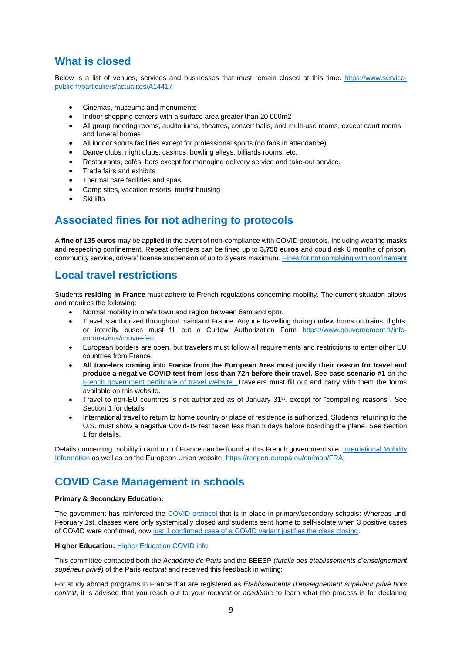## **What is closed**

Below is a list of venues, services and businesses that must remain closed at this time. [https://www.service](https://www.service-public.fr/particuliers/actualites/A14417)[public.fr/particuliers/actualites/A14417](https://www.service-public.fr/particuliers/actualites/A14417)

- Cinemas, museums and monuments
- Indoor shopping centers with a surface area greater than 20 000m2
- All group meeting rooms, auditoriums, theatres, concert halls, and multi-use rooms, except court rooms and funeral homes
- All indoor sports facilities except for professional sports (no fans in attendance)
- Dance clubs, night clubs, casinos, bowling alleys, billiards rooms, etc.
- Restaurants, cafés, bars except for managing delivery service and take-out service.
- Trade fairs and exhibits
- Thermal care facilities and spas
- Camp sites, vacation resorts, tourist housing
- Ski lifts

### **Associated fines for not adhering to protocols**

A **fine of 135 euros** may be applied in the event of non-compliance with COVID protocols, including wearing masks and respecting confinement. Repeat offenders can be fined up to **3,750 euros** and could risk 6 months of prison, community service, drivers' license suspension of up to 3 years maximum. [Fines for not complying with confinement](https://www.service-public.fr/particuliers/vosdroits/F35249)

### **Local travel restrictions**

Students **residing in France** must adhere to French regulations concerning mobility. The current situation allows and requires the following:

- Normal mobility in one's town and region between 6am and 6pm.
- Travel is authorized throughout mainland France. Anyone travelling during curfew hours on trains, flights, or intercity buses must fill out a Curfew Authorization Form [https://www.gouvernement.fr/info](https://www.gouvernement.fr/info-coronavirus/couvre-feu)[coronavirus/couvre-feu](https://www.gouvernement.fr/info-coronavirus/couvre-feu)
- European borders are open, but travelers must follow all requirements and restrictions to enter other EU countries from France.
- **All travelers coming into France from the European Area must justify their reason for travel and produce a negative COVID test from less than 72h before their travel. See case scenario #1** on the [French government certificate of travel website.](https://www.interieur.gouv.fr/Actualites/L-actu-du-Ministere/Attestation-de-deplacement-et-de-voyage) Travelers must fill out and carry with them the forms available on this website.
- Travel to non-EU countries is not authorized as of January 31 st, except for "compelling reasons". See Section 1 for details.
- International travel to return to home country or place of residence is authorized. Students returning to the U.S. must show a negative Covid-19 test taken less than 3 days before boarding the plane. See Section 1 for details.

Details concerning mobility in and out of France can be found at this French government site: [International Mobility](https://www.gouvernement.fr/info-coronavirus/vacances)  [Information](https://www.gouvernement.fr/info-coronavirus/vacances) as well as on the European Union website:<https://reopen.europa.eu/en/map/FRA>

### **COVID Case Management in schools**

#### **Primary & Secondary Education:**

The government has reinforced the [COVID protocol](https://www.education.gouv.fr/rentree-2020-modalites-pratiques-305467) that is in place in primary/secondary schools: Whereas until February 1st, classes were only systemically closed and students sent home to self-isolate when 3 positive cases of COVID were confirmed, now [just 1 confirmed case of a COVID](https://www.education.gouv.fr/coronavirus-covid-19-les-reponses-vos-questions-306136) variant justifies the class closing.

#### **Higher Education: [Higher Education COVID info](https://www.enseignementsup-recherche.gouv.fr/pid39562/covid-19-l-enseignement-superieur-francais-mobilise.html)**

This committee contacted both the *Académie de Paris* and the BEESP (*tutelle des établissements d'enseignement supérieur privé*) of the Paris *rectorat* and received this feedback in writing:

For study abroad programs in France that are registered as *Etablissements d'enseignement supérieur privé hors contrat*, it is advised that you reach out to your *rectorat* or *académie* to learn what the process is for declaring